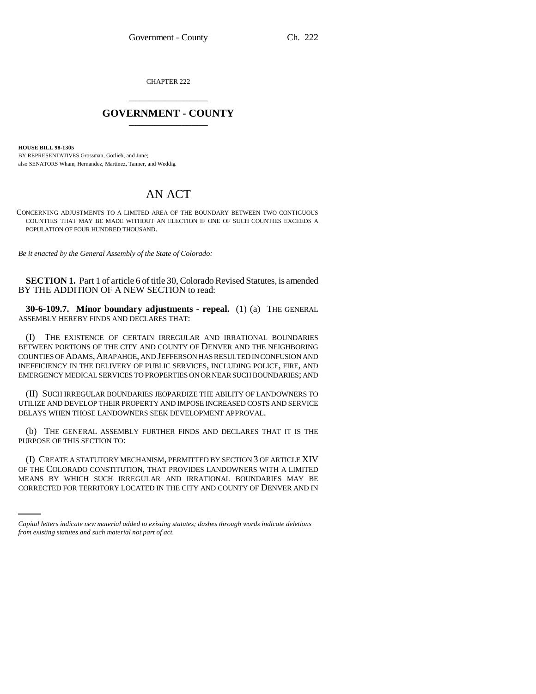CHAPTER 222 \_\_\_\_\_\_\_\_\_\_\_\_\_\_\_

## **GOVERNMENT - COUNTY** \_\_\_\_\_\_\_\_\_\_\_\_\_\_\_

**HOUSE BILL 98-1305**

BY REPRESENTATIVES Grossman, Gotlieb, and June; also SENATORS Wham, Hernandez, Martinez, Tanner, and Weddig.

## AN ACT

CONCERNING ADJUSTMENTS TO A LIMITED AREA OF THE BOUNDARY BETWEEN TWO CONTIGUOUS COUNTIES THAT MAY BE MADE WITHOUT AN ELECTION IF ONE OF SUCH COUNTIES EXCEEDS A POPULATION OF FOUR HUNDRED THOUSAND.

*Be it enacted by the General Assembly of the State of Colorado:*

**SECTION 1.** Part 1 of article 6 of title 30, Colorado Revised Statutes, is amended BY THE ADDITION OF A NEW SECTION to read:

**30-6-109.7. Minor boundary adjustments - repeal.** (1) (a) THE GENERAL ASSEMBLY HEREBY FINDS AND DECLARES THAT:

(I) THE EXISTENCE OF CERTAIN IRREGULAR AND IRRATIONAL BOUNDARIES BETWEEN PORTIONS OF THE CITY AND COUNTY OF DENVER AND THE NEIGHBORING COUNTIES OF ADAMS, ARAPAHOE, AND JEFFERSON HAS RESULTED IN CONFUSION AND INEFFICIENCY IN THE DELIVERY OF PUBLIC SERVICES, INCLUDING POLICE, FIRE, AND EMERGENCY MEDICAL SERVICES TO PROPERTIES ON OR NEAR SUCH BOUNDARIES; AND

(II) SUCH IRREGULAR BOUNDARIES JEOPARDIZE THE ABILITY OF LANDOWNERS TO UTILIZE AND DEVELOP THEIR PROPERTY AND IMPOSE INCREASED COSTS AND SERVICE DELAYS WHEN THOSE LANDOWNERS SEEK DEVELOPMENT APPROVAL.

(b) THE GENERAL ASSEMBLY FURTHER FINDS AND DECLARES THAT IT IS THE PURPOSE OF THIS SECTION TO:

OF THE COLORADO CONSTITUTION, THAT PROVIDES LANDOWNERS WITH A LIMITED (I) CREATE A STATUTORY MECHANISM, PERMITTED BY SECTION 3 OF ARTICLE XIV MEANS BY WHICH SUCH IRREGULAR AND IRRATIONAL BOUNDARIES MAY BE CORRECTED FOR TERRITORY LOCATED IN THE CITY AND COUNTY OF DENVER AND IN

*Capital letters indicate new material added to existing statutes; dashes through words indicate deletions from existing statutes and such material not part of act.*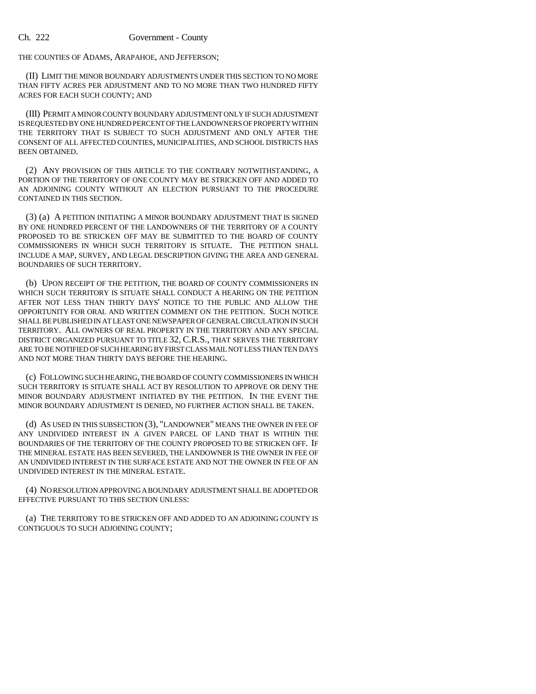THE COUNTIES OF ADAMS, ARAPAHOE, AND JEFFERSON;

(II) LIMIT THE MINOR BOUNDARY ADJUSTMENTS UNDER THIS SECTION TO NO MORE THAN FIFTY ACRES PER ADJUSTMENT AND TO NO MORE THAN TWO HUNDRED FIFTY ACRES FOR EACH SUCH COUNTY; AND

(III) PERMIT A MINOR COUNTY BOUNDARY ADJUSTMENT ONLY IF SUCH ADJUSTMENT IS REQUESTED BY ONE HUNDRED PERCENT OF THE LANDOWNERS OF PROPERTY WITHIN THE TERRITORY THAT IS SUBJECT TO SUCH ADJUSTMENT AND ONLY AFTER THE CONSENT OF ALL AFFECTED COUNTIES, MUNICIPALITIES, AND SCHOOL DISTRICTS HAS BEEN OBTAINED.

(2) ANY PROVISION OF THIS ARTICLE TO THE CONTRARY NOTWITHSTANDING, A PORTION OF THE TERRITORY OF ONE COUNTY MAY BE STRICKEN OFF AND ADDED TO AN ADJOINING COUNTY WITHOUT AN ELECTION PURSUANT TO THE PROCEDURE CONTAINED IN THIS SECTION.

(3) (a) A PETITION INITIATING A MINOR BOUNDARY ADJUSTMENT THAT IS SIGNED BY ONE HUNDRED PERCENT OF THE LANDOWNERS OF THE TERRITORY OF A COUNTY PROPOSED TO BE STRICKEN OFF MAY BE SUBMITTED TO THE BOARD OF COUNTY COMMISSIONERS IN WHICH SUCH TERRITORY IS SITUATE. THE PETITION SHALL INCLUDE A MAP, SURVEY, AND LEGAL DESCRIPTION GIVING THE AREA AND GENERAL BOUNDARIES OF SUCH TERRITORY.

(b) UPON RECEIPT OF THE PETITION, THE BOARD OF COUNTY COMMISSIONERS IN WHICH SUCH TERRITORY IS SITUATE SHALL CONDUCT A HEARING ON THE PETITION AFTER NOT LESS THAN THIRTY DAYS' NOTICE TO THE PUBLIC AND ALLOW THE OPPORTUNITY FOR ORAL AND WRITTEN COMMENT ON THE PETITION. SUCH NOTICE SHALL BE PUBLISHED IN AT LEAST ONE NEWSPAPER OF GENERAL CIRCULATION IN SUCH TERRITORY. ALL OWNERS OF REAL PROPERTY IN THE TERRITORY AND ANY SPECIAL DISTRICT ORGANIZED PURSUANT TO TITLE 32, C.R.S., THAT SERVES THE TERRITORY ARE TO BE NOTIFIED OF SUCH HEARING BY FIRST CLASS MAIL NOT LESS THAN TEN DAYS AND NOT MORE THAN THIRTY DAYS BEFORE THE HEARING.

(c) FOLLOWING SUCH HEARING, THE BOARD OF COUNTY COMMISSIONERS IN WHICH SUCH TERRITORY IS SITUATE SHALL ACT BY RESOLUTION TO APPROVE OR DENY THE MINOR BOUNDARY ADJUSTMENT INITIATED BY THE PETITION. IN THE EVENT THE MINOR BOUNDARY ADJUSTMENT IS DENIED, NO FURTHER ACTION SHALL BE TAKEN.

(d) AS USED IN THIS SUBSECTION (3), "LANDOWNER" MEANS THE OWNER IN FEE OF ANY UNDIVIDED INTEREST IN A GIVEN PARCEL OF LAND THAT IS WITHIN THE BOUNDARIES OF THE TERRITORY OF THE COUNTY PROPOSED TO BE STRICKEN OFF. IF THE MINERAL ESTATE HAS BEEN SEVERED, THE LANDOWNER IS THE OWNER IN FEE OF AN UNDIVIDED INTEREST IN THE SURFACE ESTATE AND NOT THE OWNER IN FEE OF AN UNDIVIDED INTEREST IN THE MINERAL ESTATE.

(4) NO RESOLUTION APPROVING A BOUNDARY ADJUSTMENT SHALL BE ADOPTED OR EFFECTIVE PURSUANT TO THIS SECTION UNLESS:

(a) THE TERRITORY TO BE STRICKEN OFF AND ADDED TO AN ADJOINING COUNTY IS CONTIGUOUS TO SUCH ADJOINING COUNTY;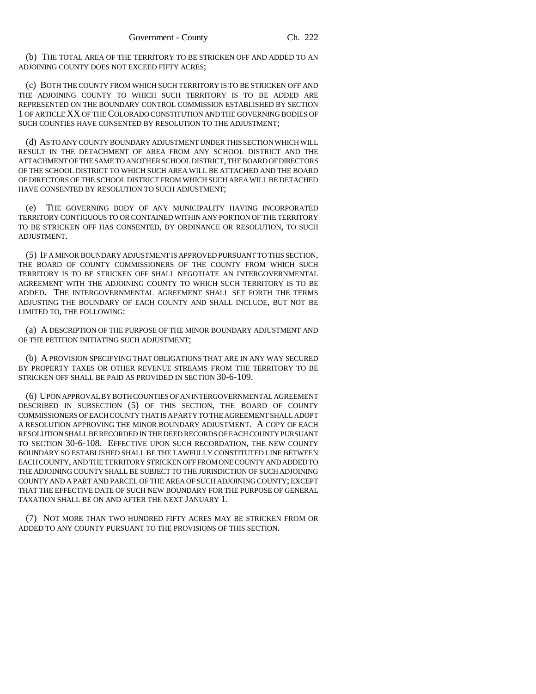(b) THE TOTAL AREA OF THE TERRITORY TO BE STRICKEN OFF AND ADDED TO AN ADJOINING COUNTY DOES NOT EXCEED FIFTY ACRES;

(c) BOTH THE COUNTY FROM WHICH SUCH TERRITORY IS TO BE STRICKEN OFF AND THE ADJOINING COUNTY TO WHICH SUCH TERRITORY IS TO BE ADDED ARE REPRESENTED ON THE BOUNDARY CONTROL COMMISSION ESTABLISHED BY SECTION 1 OF ARTICLE XX OF THE COLORADO CONSTITUTION AND THE GOVERNING BODIES OF SUCH COUNTIES HAVE CONSENTED BY RESOLUTION TO THE ADJUSTMENT;

(d) AS TO ANY COUNTY BOUNDARY ADJUSTMENT UNDER THIS SECTION WHICH WILL RESULT IN THE DETACHMENT OF AREA FROM ANY SCHOOL DISTRICT AND THE ATTACHMENT OF THE SAME TO ANOTHER SCHOOL DISTRICT, THE BOARD OF DIRECTORS OF THE SCHOOL DISTRICT TO WHICH SUCH AREA WILL BE ATTACHED AND THE BOARD OF DIRECTORS OF THE SCHOOL DISTRICT FROM WHICH SUCH AREA WILL BE DETACHED HAVE CONSENTED BY RESOLUTION TO SUCH ADJUSTMENT;

(e) THE GOVERNING BODY OF ANY MUNICIPALITY HAVING INCORPORATED TERRITORY CONTIGUOUS TO OR CONTAINED WITHIN ANY PORTION OF THE TERRITORY TO BE STRICKEN OFF HAS CONSENTED, BY ORDINANCE OR RESOLUTION, TO SUCH ADJUSTMENT.

(5) IF A MINOR BOUNDARY ADJUSTMENT IS APPROVED PURSUANT TO THIS SECTION, THE BOARD OF COUNTY COMMISSIONERS OF THE COUNTY FROM WHICH SUCH TERRITORY IS TO BE STRICKEN OFF SHALL NEGOTIATE AN INTERGOVERNMENTAL AGREEMENT WITH THE ADJOINING COUNTY TO WHICH SUCH TERRITORY IS TO BE ADDED. THE INTERGOVERNMENTAL AGREEMENT SHALL SET FORTH THE TERMS ADJUSTING THE BOUNDARY OF EACH COUNTY AND SHALL INCLUDE, BUT NOT BE LIMITED TO, THE FOLLOWING:

(a) A DESCRIPTION OF THE PURPOSE OF THE MINOR BOUNDARY ADJUSTMENT AND OF THE PETITION INITIATING SUCH ADJUSTMENT;

(b) A PROVISION SPECIFYING THAT OBLIGATIONS THAT ARE IN ANY WAY SECURED BY PROPERTY TAXES OR OTHER REVENUE STREAMS FROM THE TERRITORY TO BE STRICKEN OFF SHALL BE PAID AS PROVIDED IN SECTION 30-6-109.

(6) UPON APPROVAL BY BOTH COUNTIES OF AN INTERGOVERNMENTAL AGREEMENT DESCRIBED IN SUBSECTION (5) OF THIS SECTION, THE BOARD OF COUNTY COMMISSIONERS OF EACH COUNTY THAT IS A PARTY TO THE AGREEMENT SHALL ADOPT A RESOLUTION APPROVING THE MINOR BOUNDARY ADJUSTMENT. A COPY OF EACH RESOLUTION SHALL BE RECORDED IN THE DEED RECORDS OF EACH COUNTY PURSUANT TO SECTION 30-6-108. EFFECTIVE UPON SUCH RECORDATION, THE NEW COUNTY BOUNDARY SO ESTABLISHED SHALL BE THE LAWFULLY CONSTITUTED LINE BETWEEN EACH COUNTY, AND THE TERRITORY STRICKEN OFF FROM ONE COUNTY AND ADDED TO THE ADJOINING COUNTY SHALL BE SUBJECT TO THE JURISDICTION OF SUCH ADJOINING COUNTY AND A PART AND PARCEL OF THE AREA OF SUCH ADJOINING COUNTY; EXCEPT THAT THE EFFECTIVE DATE OF SUCH NEW BOUNDARY FOR THE PURPOSE OF GENERAL TAXATION SHALL BE ON AND AFTER THE NEXT JANUARY 1.

(7) NOT MORE THAN TWO HUNDRED FIFTY ACRES MAY BE STRICKEN FROM OR ADDED TO ANY COUNTY PURSUANT TO THE PROVISIONS OF THIS SECTION.